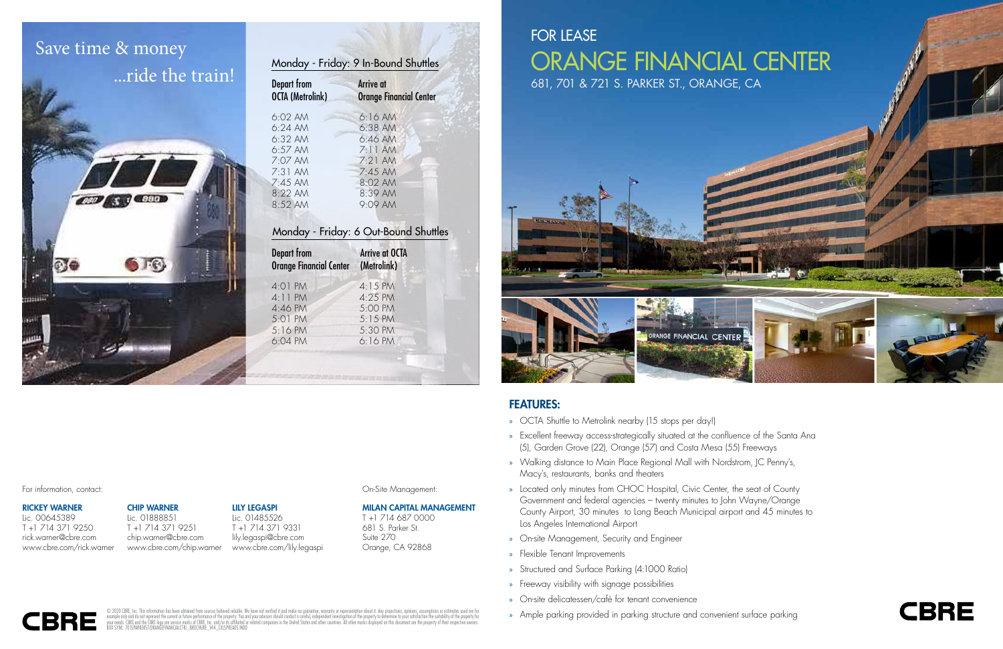## FEATURES:

- » OCTA Shuttle to Metrolink nearby (15 stops per day!)
- » Excellent freeway access-strategically situated at the confluence of the Santa Ana (5), Garden Grove (22), Orange (57) and Costa Mesa (55) Freeways
- » Walking distance to Main Place Regional Mall with Nordstrom, JC Penny's, Macy's, restaurants, banks and theaters
- » Located only minutes from CHOC Hospital, Civic Center, the seat of County Government and federal agencies – twenty minutes to John Wayne/Orange County Airport, 30 minutes to Long Beach Municipal airport and 45 minutes to Los Angeles International Airport
- » On-site Management, Security and Engineer
- » Flexible Tenant Improvements
- » Structured and Surface Parking (4:1000 Ratio)
- » Freeway visibility with signage possibilities **Route 453**
- » On-site delicatessen/café for tenant convenience
- » Ample parking provided in parking structure and convenient surface parking



© 2020 CBRE, Inc. This information has been obtained from sources believed reliable. We have not verified it and make no guarantee, warranty or representation about it. Any projections, opinions, assumptions or estimates u



### RICKEY WARNER

Lic. 00645389 T +1 714 371 9250 rick.warner@cbre.com www.cbre.com/rick.warner





| <b>Depart from</b><br><b>OCTA (Metrolink)</b> | Arrive at<br><b>Orange Financial Center</b> |
|-----------------------------------------------|---------------------------------------------|
| $6:02$ AM                                     | 6:16AM                                      |
| $6:24$ AM                                     | $6:38$ AM                                   |
| $6:32$ AM                                     | 6:46AM                                      |
| $6:57$ AM                                     | $7:11$ AM                                   |
| 7:07 AM                                       | $7.21$ AM                                   |
| $7:31$ AM                                     | $7:45$ AM                                   |
| $7:45$ AM                                     | 8:02 AM                                     |
| 8:22 AM                                       | $8:39$ AM                                   |
| $8:52$ AM                                     | $9:09$ AM                                   |

## Monday - Friday: 6 Out-Bound Shuttles

| <b>Depart from</b><br><b>Orange Financial Center</b> | <b>Arrive at OCTA</b><br>(Metrolink) |
|------------------------------------------------------|--------------------------------------|
| 4:01 PM                                              | 4:15 PM                              |
| $4:11$ PM                                            | $4:25$ PM                            |
| 4:46 PM                                              | 5:00 PM                              |
| 5:01 PM<br>5:16 PM                                   | $5:15$ PM<br>5:30 PM                 |
| 6:04 PM                                              | 6:16PM                               |
|                                                      |                                      |

### For information, contact: Contactive Construction, contact: Construction Construction, Construction, Construction, Construction, Construction, Construction, Construction, Construction, Construction, Construction, Construct

## Save time & money ...ride the train!



MILAN CAPITAL MANAGEMENT T +1 714 687 0000 681 S. Parker St. Suite 270 Orange, CA 92868

### LILY LEGASPI

Lic. 01485526 T +1 714 371 9331 lily.legaspi@cbre.com www.cbre.com/lily.legaspi

### CHIP WARNER

Lic. 01888851 T +1 714 371 9251 chip.warner@cbre.com www.cbre.com/chip.warner